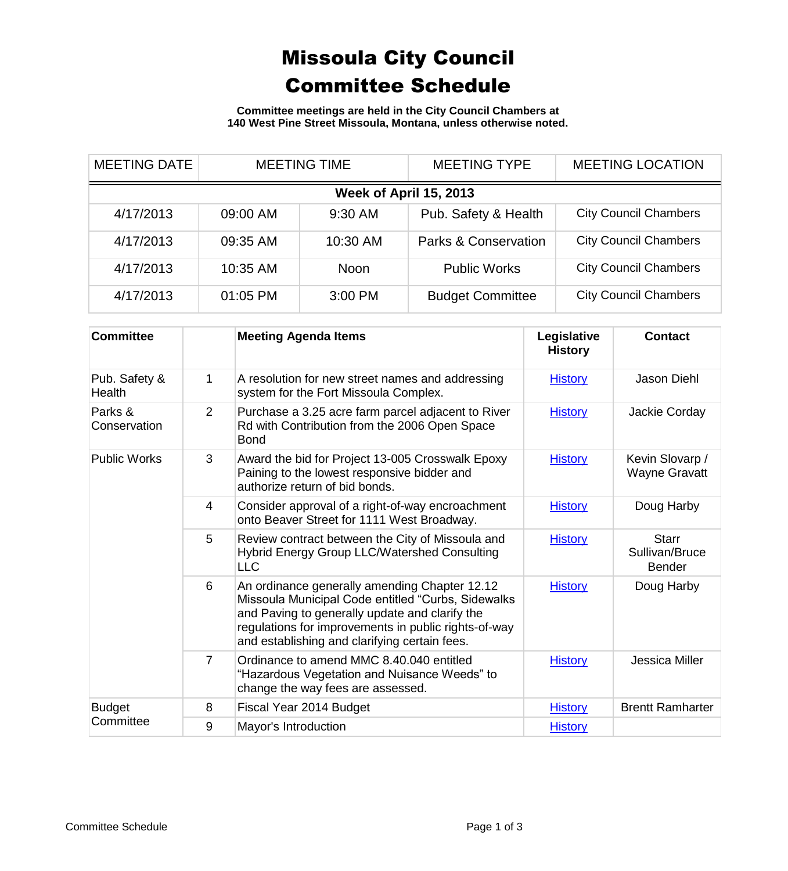## Missoula City Council Committee Schedule

**Committee meetings are held in the City Council Chambers at 140 West Pine Street Missoula, Montana, unless otherwise noted.**

| <b>MEETING DATE</b>    | <b>MEETING TIME</b> |             | <b>MEETING TYPE</b>     | <b>MEETING LOCATION</b>      |  |  |
|------------------------|---------------------|-------------|-------------------------|------------------------------|--|--|
| Week of April 15, 2013 |                     |             |                         |                              |  |  |
| 4/17/2013              | 09:00 AM            | 9:30 AM     | Pub. Safety & Health    | <b>City Council Chambers</b> |  |  |
| 4/17/2013              | 09:35 AM            | 10:30 AM    | Parks & Conservation    | <b>City Council Chambers</b> |  |  |
| 4/17/2013              | 10:35 AM            | <b>Noon</b> | <b>Public Works</b>     | <b>City Council Chambers</b> |  |  |
| 4/17/2013              | 01:05 PM            | 3:00 PM     | <b>Budget Committee</b> | <b>City Council Chambers</b> |  |  |

| <b>Committee</b>           |                | <b>Meeting Agenda Items</b>                                                                                                                                                                                                                                    | Legislative<br><b>History</b> | <b>Contact</b>                                  |
|----------------------------|----------------|----------------------------------------------------------------------------------------------------------------------------------------------------------------------------------------------------------------------------------------------------------------|-------------------------------|-------------------------------------------------|
| Pub. Safety &<br>Health    | 1              | A resolution for new street names and addressing<br>system for the Fort Missoula Complex.                                                                                                                                                                      | <b>History</b>                | <b>Jason Diehl</b>                              |
| Parks &<br>Conservation    | 2              | Purchase a 3.25 acre farm parcel adjacent to River<br>Rd with Contribution from the 2006 Open Space<br><b>Bond</b>                                                                                                                                             | <b>History</b>                | Jackie Corday                                   |
| <b>Public Works</b>        | 3              | Award the bid for Project 13-005 Crosswalk Epoxy<br>Paining to the lowest responsive bidder and<br>authorize return of bid bonds.                                                                                                                              | <b>History</b>                | Kevin Slovarp /<br><b>Wayne Gravatt</b>         |
|                            | 4              | Consider approval of a right-of-way encroachment<br>onto Beaver Street for 1111 West Broadway.                                                                                                                                                                 | <b>History</b>                | Doug Harby                                      |
|                            | 5              | Review contract between the City of Missoula and<br>Hybrid Energy Group LLC/Watershed Consulting<br><b>LLC</b>                                                                                                                                                 | <b>History</b>                | <b>Starr</b><br>Sullivan/Bruce<br><b>Bender</b> |
|                            | 6              | An ordinance generally amending Chapter 12.12<br>Missoula Municipal Code entitled "Curbs, Sidewalks<br>and Paving to generally update and clarify the<br>regulations for improvements in public rights-of-way<br>and establishing and clarifying certain fees. | <b>History</b>                | Doug Harby                                      |
|                            | $\overline{7}$ | Ordinance to amend MMC 8.40.040 entitled<br>"Hazardous Vegetation and Nuisance Weeds" to<br>change the way fees are assessed.                                                                                                                                  | <b>History</b>                | Jessica Miller                                  |
| <b>Budget</b><br>Committee | 8              | Fiscal Year 2014 Budget                                                                                                                                                                                                                                        | <b>History</b>                | <b>Brentt Ramharter</b>                         |
|                            | 9              | Mayor's Introduction                                                                                                                                                                                                                                           | <b>History</b>                |                                                 |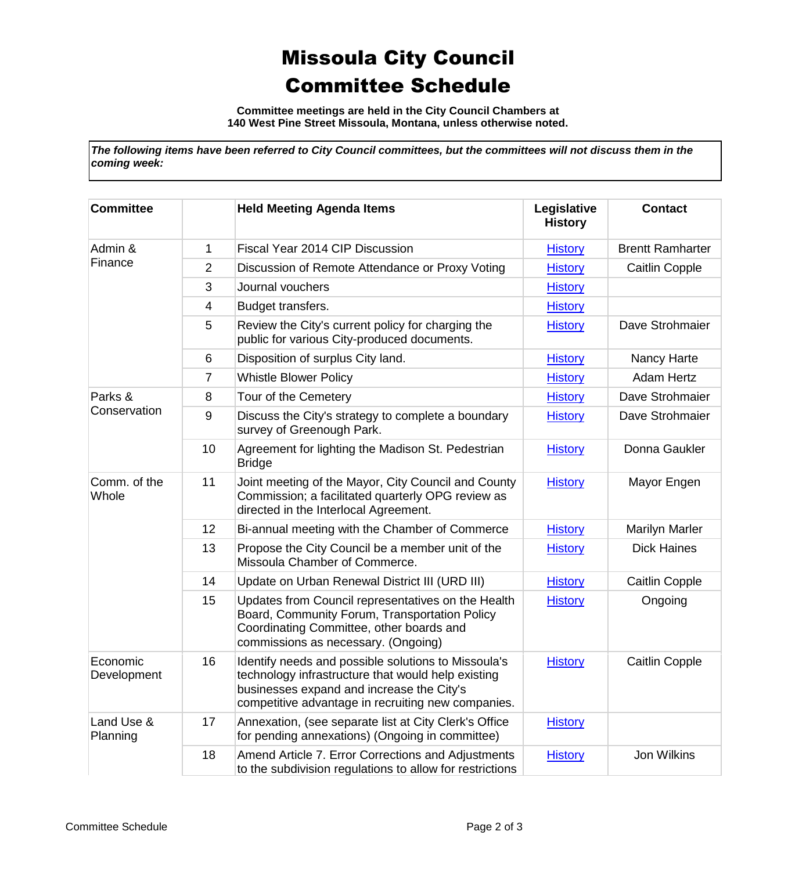## Missoula City Council Committee Schedule

**Committee meetings are held in the City Council Chambers at 140 West Pine Street Missoula, Montana, unless otherwise noted.**

*The following items have been referred to City Council committees, but the committees will not discuss them in the coming week:*

| <b>Committee</b>        |    | <b>Held Meeting Agenda Items</b>                                                                                                                                                                             | Legislative<br><b>History</b> | <b>Contact</b>          |
|-------------------------|----|--------------------------------------------------------------------------------------------------------------------------------------------------------------------------------------------------------------|-------------------------------|-------------------------|
| Admin &<br>Finance      | 1  | Fiscal Year 2014 CIP Discussion                                                                                                                                                                              | <b>History</b>                | <b>Brentt Ramharter</b> |
|                         | 2  | Discussion of Remote Attendance or Proxy Voting                                                                                                                                                              | <b>History</b>                | <b>Caitlin Copple</b>   |
|                         | 3  | Journal vouchers                                                                                                                                                                                             | <b>History</b>                |                         |
|                         | 4  | Budget transfers.                                                                                                                                                                                            | <b>History</b>                |                         |
|                         | 5  | Review the City's current policy for charging the<br>public for various City-produced documents.                                                                                                             | <b>History</b>                | Dave Strohmaier         |
|                         | 6  | Disposition of surplus City land.                                                                                                                                                                            | <b>History</b>                | Nancy Harte             |
|                         | 7  | <b>Whistle Blower Policy</b>                                                                                                                                                                                 | <b>History</b>                | <b>Adam Hertz</b>       |
| Parks &<br>Conservation | 8  | Tour of the Cemetery                                                                                                                                                                                         | <b>History</b>                | Dave Strohmaier         |
|                         | 9  | Discuss the City's strategy to complete a boundary<br>survey of Greenough Park.                                                                                                                              | <b>History</b>                | Dave Strohmaier         |
|                         | 10 | Agreement for lighting the Madison St. Pedestrian<br><b>Bridge</b>                                                                                                                                           | <b>History</b>                | Donna Gaukler           |
| Comm. of the<br>Whole   | 11 | Joint meeting of the Mayor, City Council and County<br>Commission; a facilitated quarterly OPG review as<br>directed in the Interlocal Agreement.                                                            | <b>History</b>                | Mayor Engen             |
|                         | 12 | Bi-annual meeting with the Chamber of Commerce                                                                                                                                                               | <b>History</b>                | <b>Marilyn Marler</b>   |
|                         | 13 | Propose the City Council be a member unit of the<br>Missoula Chamber of Commerce.                                                                                                                            | <b>History</b>                | <b>Dick Haines</b>      |
|                         | 14 | Update on Urban Renewal District III (URD III)                                                                                                                                                               | <b>History</b>                | <b>Caitlin Copple</b>   |
|                         | 15 | Updates from Council representatives on the Health<br>Board, Community Forum, Transportation Policy<br>Coordinating Committee, other boards and<br>commissions as necessary. (Ongoing)                       | <b>History</b>                | Ongoing                 |
| Economic<br>Development | 16 | Identify needs and possible solutions to Missoula's<br>technology infrastructure that would help existing<br>businesses expand and increase the City's<br>competitive advantage in recruiting new companies. | <b>History</b>                | <b>Caitlin Copple</b>   |
| Land Use &<br>Planning  | 17 | Annexation, (see separate list at City Clerk's Office<br>for pending annexations) (Ongoing in committee)                                                                                                     | <b>History</b>                |                         |
|                         | 18 | Amend Article 7. Error Corrections and Adjustments<br>to the subdivision regulations to allow for restrictions                                                                                               | <b>History</b>                | Jon Wilkins             |